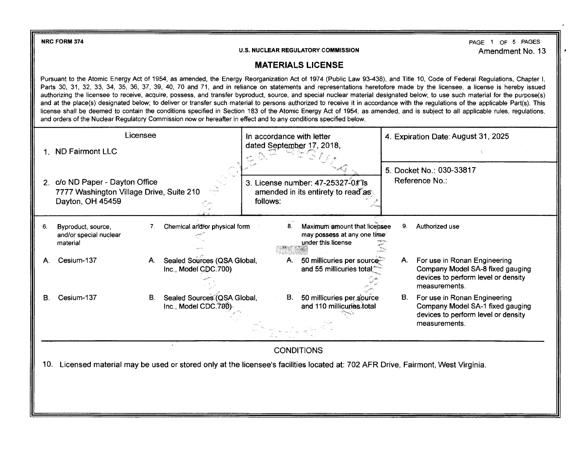**NRC FORM 374** 

**U.S. NUCLEAR REGULATORY COMMISSION** 

PAGE 1 OF 5 PAGES Amendment No. 13

## **MATERIALS LICENSE**

Pursuant to the Atomic Energy Act of 1954, as amended, the Energy Reorganization Act of 1974 (Public Law 93-438), and Title 10, Code of Federal Regulations, Chapter I, Parts 30, 31, 32, 33, 34, 35, 36, 37, 39, 40, 70 and 71, and in reliance on statements and representations heretofore made by the licensee, a license is hereby issued authorizing the licensee to receive, acquire, possess, and transfer byproduct, source, and special nuclear material designated below; to use such material for the purpose(s) and at the place(s) designated below; to deliver or transfer such material to persons authorized to receive it in accordance with the regulations of the applicable Part(s). This license shall be deemed to contain the conditions specified in Section 183 of the Atomic Energy Act of 1954, as amended, and is subject to all applicable rules, regulations, and orders of the Nuclear Regulatory Commission now or hereafter in effect and to any conditions specified below.

|     | <b>ND Fairmont LLC</b><br>2. c/o ND Paper - Dayton Office<br>7777 Washington Village Drive, Suite 210<br>Dayton, OH 45459 | Licensee                                                  | In accordance with letter<br>dated September 17, 2018,<br>3. License number: 47-25327-01 is<br>amended in its entirety to read as<br>follows: | 4. Expiration Date: August 31, 2025<br>5. Docket No.: 030-33817<br>Reference No.:                                              |  |
|-----|---------------------------------------------------------------------------------------------------------------------------|-----------------------------------------------------------|-----------------------------------------------------------------------------------------------------------------------------------------------|--------------------------------------------------------------------------------------------------------------------------------|--|
| 6.  | Byproduct, source,<br>and/or special nuclear<br>material                                                                  | Chemical and/or physical form<br>7.                       | Maximum amount that licensee<br>8.<br>may possess at any one time<br>under this license                                                       | 9.<br>Authorized use                                                                                                           |  |
|     | Cesium-137                                                                                                                | Sealed Sources (QSA Global,<br>A.<br>Inc., Model CDC.700) | 50 millicuries per source<br>and 55 millicuries total                                                                                         | For use in Ronan Engineering<br>А.<br>Company Model SA-8 fixed gauging<br>devices to perform level or density<br>measurements. |  |
|     | Cesium-137                                                                                                                | Sealed Sources (QSA Global,<br>B.<br>Inc., Model CDC.700) | 50 millicuries per source<br>۰B.<br>and 110 millicuries total                                                                                 | B.<br>For use in Ronan Engineering<br>Company Model SA-1 fixed gauging<br>devices to perform level or density<br>measurements. |  |
|     | <b>CONDITIONS</b>                                                                                                         |                                                           |                                                                                                                                               |                                                                                                                                |  |
| 10. |                                                                                                                           |                                                           | Licensed material may be used or stored only at the licensee's facilities located at: 702 AFR Drive, Fairmont, West Virginia.                 |                                                                                                                                |  |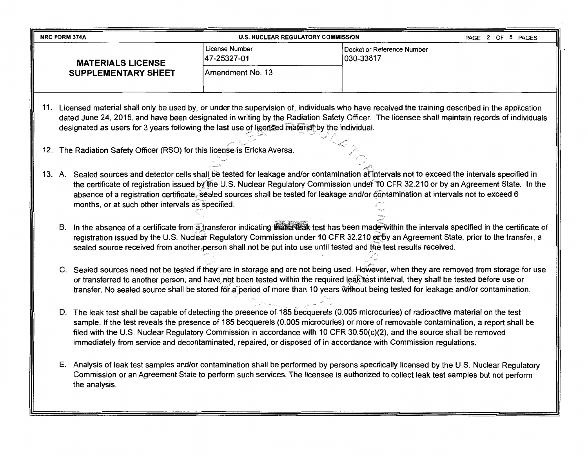| <b>NRC FORM 374A</b>                                                                                                                                                                                                                                                                                                                                                                                                                                                                                                          | <b>U.S. NUCLEAR REGULATORY COMMISSION</b> | PAGE 2 OF 5 PAGES                                                                                                                                                                                                                                                                                                                                                                                                               |
|-------------------------------------------------------------------------------------------------------------------------------------------------------------------------------------------------------------------------------------------------------------------------------------------------------------------------------------------------------------------------------------------------------------------------------------------------------------------------------------------------------------------------------|-------------------------------------------|---------------------------------------------------------------------------------------------------------------------------------------------------------------------------------------------------------------------------------------------------------------------------------------------------------------------------------------------------------------------------------------------------------------------------------|
| <b>MATERIALS LICENSE</b>                                                                                                                                                                                                                                                                                                                                                                                                                                                                                                      | License Number<br>47-25327-01             | Docket or Reference Number<br>030-33817                                                                                                                                                                                                                                                                                                                                                                                         |
| <b>SUPPLEMENTARY SHEET</b>                                                                                                                                                                                                                                                                                                                                                                                                                                                                                                    | Amendment No. 13                          |                                                                                                                                                                                                                                                                                                                                                                                                                                 |
| designated as users for 3 years following the last use of licensed materiat by the individual.                                                                                                                                                                                                                                                                                                                                                                                                                                |                                           | 11. Licensed material shall only be used by, or under the supervision of, individuals who have received the training described in the application<br>dated June 24, 2015, and have been designated in writing by the Radiation Safety Officer. The licensee shall maintain records of individuals                                                                                                                               |
| 12. The Radiation Safety Officer (RSO) for this license is Ericka Aversa.                                                                                                                                                                                                                                                                                                                                                                                                                                                     |                                           |                                                                                                                                                                                                                                                                                                                                                                                                                                 |
| months, or at such other intervals as specified.                                                                                                                                                                                                                                                                                                                                                                                                                                                                              |                                           | 13. A. Sealed sources and detector cells shall be tested for leakage and/or contamination at intervals not to exceed the intervals specified in<br>the certificate of registration issued by the U.S. Nuclear Regulatory Commission under 10 CFR 32.210 or by an Agreement State. In the<br>absence of a registration certificate, sealed sources shall be tested for leakage and/or contamination at intervals not to exceed 6 |
| B. In the absence of a certificate from a transferor indicating that a teak test has been made within the intervals specified in the certificate of<br>registration issued by the U.S. Nuclear Regulatory Commission under 10 CFR 32.210 or by an Agreement State, prior to the transfer, a<br>sealed source received from another person shall not be put into use until tested and the test results received.                                                                                                               |                                           |                                                                                                                                                                                                                                                                                                                                                                                                                                 |
| C. Sealed sources need not be tested if they are in storage and are not being used. However, when they are removed from storage for use<br>or transferred to another person, and have not been tested within the required leak test interval, they shall be tested before use or<br>transfer. No sealed source shall be stored for a period of more than 10 years without being tested for leakage and/or contamination.                                                                                                      |                                           |                                                                                                                                                                                                                                                                                                                                                                                                                                 |
| D. The leak test shall be capable of detecting the presence of 185 becquerels (0.005 microcuries) of radioactive material on the test<br>sample. If the test reveals the presence of 185 becquerels (0.005 microcuries) or more of removable contamination, a report shall be<br>filed with the U.S. Nuclear Regulatory Commission in accordance with 10 CFR 30.50(c)(2), and the source shall be removed<br>immediately from service and decontaminated, repaired, or disposed of in accordance with Commission regulations. |                                           |                                                                                                                                                                                                                                                                                                                                                                                                                                 |
| the analysis.                                                                                                                                                                                                                                                                                                                                                                                                                                                                                                                 |                                           | E. Analysis of leak test samples and/or contamination shall be performed by persons specifically licensed by the U.S. Nuclear Regulatory<br>Commission or an Agreement State to perform such services. The licensee is authorized to collect leak test samples but not perform                                                                                                                                                  |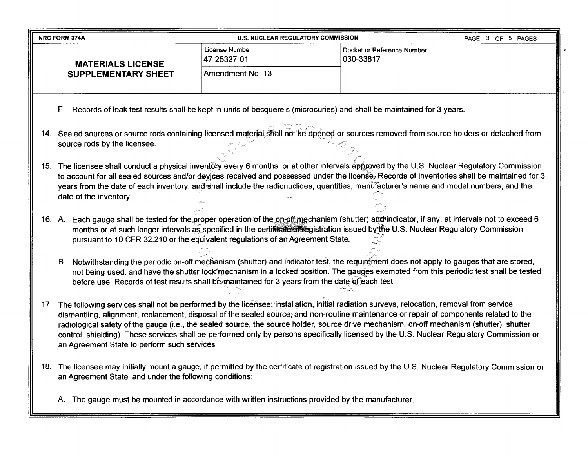| <b>NRC FORM 374A</b>                                                                                                                                                                                                                                                                                                                                                                                                                                                                                                                                                                                                              | <b>U.S. NUCLEAR REGULATORY COMMISSION</b>                                                                                                                                                                                                                                                                                                                                         |                                         | PAGE 3 OF 5 PAGES |
|-----------------------------------------------------------------------------------------------------------------------------------------------------------------------------------------------------------------------------------------------------------------------------------------------------------------------------------------------------------------------------------------------------------------------------------------------------------------------------------------------------------------------------------------------------------------------------------------------------------------------------------|-----------------------------------------------------------------------------------------------------------------------------------------------------------------------------------------------------------------------------------------------------------------------------------------------------------------------------------------------------------------------------------|-----------------------------------------|-------------------|
| <b>MATERIALS LICENSE</b>                                                                                                                                                                                                                                                                                                                                                                                                                                                                                                                                                                                                          | License Number<br>47-25327-01                                                                                                                                                                                                                                                                                                                                                     | Docket or Reference Number<br>030-33817 |                   |
| <b>SUPPLEMENTARY SHEET</b>                                                                                                                                                                                                                                                                                                                                                                                                                                                                                                                                                                                                        | Amendment No. 13                                                                                                                                                                                                                                                                                                                                                                  |                                         |                   |
|                                                                                                                                                                                                                                                                                                                                                                                                                                                                                                                                                                                                                                   |                                                                                                                                                                                                                                                                                                                                                                                   |                                         |                   |
| F. Records of leak test results shall be kept in units of becquerels (microcuries) and shall be maintained for 3 years.                                                                                                                                                                                                                                                                                                                                                                                                                                                                                                           |                                                                                                                                                                                                                                                                                                                                                                                   |                                         |                   |
| 14. Sealed sources or source rods containing licensed material shall not be opened or sources removed from source holders or detached from<br>source rods by the licensee.                                                                                                                                                                                                                                                                                                                                                                                                                                                        |                                                                                                                                                                                                                                                                                                                                                                                   |                                         |                   |
| 15. The licensee shall conduct a physical inventory every 6 months, or at other intervals approved by the U.S. Nuclear Regulatory Commission,<br>to account for all sealed sources and/or devices received and possessed under the license. Records of inventories shall be maintained for 3<br>years from the date of each inventory, and shall include the radionuclides, quantities, manufacturer's name and model numbers, and the<br>date of the inventory.                                                                                                                                                                  |                                                                                                                                                                                                                                                                                                                                                                                   |                                         |                   |
| 16. A. Each gauge shall be tested for the proper operation of the on-off mechanism (shutter) and indicator, if any, at intervals not to exceed 6                                                                                                                                                                                                                                                                                                                                                                                                                                                                                  | months or at such longer intervals as specified in the certificate of registration issued by the U.S. Nuclear Regulatory Commission<br>pursuant to 10 CFR 32.210 or the equivalent regulations of an Agreement State.                                                                                                                                                             |                                         |                   |
| В.                                                                                                                                                                                                                                                                                                                                                                                                                                                                                                                                                                                                                                | Notwithstanding the periodic on-off mechanism (shutter) and indicator test, the requirement does not apply to gauges that are stored,<br>not being used, and have the shutter lock mechanism in a locked position. The gauges exempted from this periodic test shall be tested<br>before use. Records of test results shall be maintained for 3 years from the date of each test. |                                         |                   |
| 17. The following services shall not be performed by the licensee: installation, initial radiation surveys, relocation, removal from service,<br>dismantling, alignment, replacement, disposal of the sealed source, and non-routine maintenance or repair of components related to the<br>radiological safety of the gauge (i.e., the sealed source, the source holder, source drive mechanism, on-off mechanism (shutter), shutter<br>control, shielding). These services shall be performed only by persons specifically licensed by the U.S. Nuclear Regulatory Commission or<br>an Agreement State to perform such services. |                                                                                                                                                                                                                                                                                                                                                                                   |                                         |                   |
| 18. The licensee may initially mount a gauge, if permitted by the certificate of registration issued by the U.S. Nuclear Regulatory Commission or<br>an Agreement State, and under the following conditions:                                                                                                                                                                                                                                                                                                                                                                                                                      |                                                                                                                                                                                                                                                                                                                                                                                   |                                         |                   |
| A. The gauge must be mounted in accordance with written instructions provided by the manufacturer.                                                                                                                                                                                                                                                                                                                                                                                                                                                                                                                                |                                                                                                                                                                                                                                                                                                                                                                                   |                                         |                   |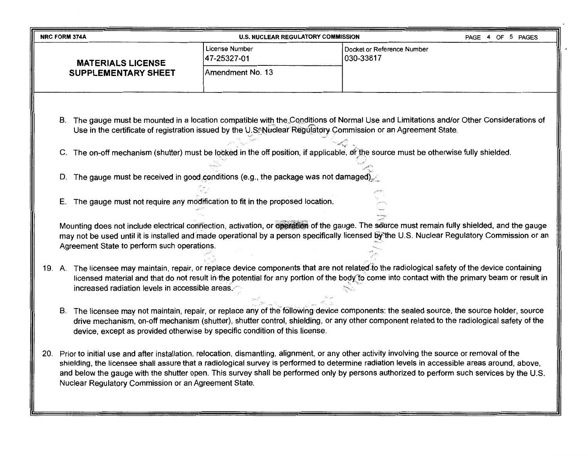| <b>NRC FORM 374A</b><br><b>U.S. NUCLEAR REGULATORY COMMISSION</b><br>PAGE 4 OF 5 PAGES |                                                                                                                                                                                                                                                                                                                                                                                                                                                                                          |                                                                              |                                                                                                                                                                                                                                                                                                                                                                                                                                                 |
|----------------------------------------------------------------------------------------|------------------------------------------------------------------------------------------------------------------------------------------------------------------------------------------------------------------------------------------------------------------------------------------------------------------------------------------------------------------------------------------------------------------------------------------------------------------------------------------|------------------------------------------------------------------------------|-------------------------------------------------------------------------------------------------------------------------------------------------------------------------------------------------------------------------------------------------------------------------------------------------------------------------------------------------------------------------------------------------------------------------------------------------|
|                                                                                        | <b>MATERIALS LICENSE</b>                                                                                                                                                                                                                                                                                                                                                                                                                                                                 | License Number<br>47-25327-01                                                | Docket or Reference Number<br>030-33817                                                                                                                                                                                                                                                                                                                                                                                                         |
|                                                                                        | <b>SUPPLEMENTARY SHEET</b>                                                                                                                                                                                                                                                                                                                                                                                                                                                               | Amendment No. 13                                                             |                                                                                                                                                                                                                                                                                                                                                                                                                                                 |
|                                                                                        | B. The gauge must be mounted in a location compatible with the Conditions of Normal Use and Limitations and/or Other Considerations of<br>Use in the certificate of registration issued by the U.S. Nuclear Regulatory Commission or an Agreement State.<br>C. The on-off mechanism (shutter) must be locked in the off position, if applicable, of the source must be otherwise fully shielded.<br>D. The gauge must be received in good conditions (e.g., the package was not damaged) |                                                                              |                                                                                                                                                                                                                                                                                                                                                                                                                                                 |
| Е.                                                                                     |                                                                                                                                                                                                                                                                                                                                                                                                                                                                                          | The gauge must not require any modification to fit in the proposed location. |                                                                                                                                                                                                                                                                                                                                                                                                                                                 |
|                                                                                        | Mounting does not include electrical connection, activation, or operation of the gauge. The source must remain fully shielded, and the gauge<br>may not be used until it is installed and made operational by a person specifically licensed by the U.S. Nuclear Regulatory Commission or an<br>Agreement State to perform such operations.                                                                                                                                              |                                                                              |                                                                                                                                                                                                                                                                                                                                                                                                                                                 |
|                                                                                        | 19. A. The licensee may maintain, repair, or replace device components that are not related to the radiological safety of the device containing<br>licensed material and that do not result in the potential for any portion of the body to come into contact with the primary beam or result in<br>increased radiation levels in accessible areas.                                                                                                                                      |                                                                              |                                                                                                                                                                                                                                                                                                                                                                                                                                                 |
|                                                                                        | B. The licensee may not maintain, repair, or replace any of the following device components: the sealed source, the source holder, source<br>drive mechanism, on-off mechanism (shutter), shutter control, shielding, or any other component related to the radiological safety of the<br>device, except as provided otherwise by specific condition of this license.                                                                                                                    |                                                                              |                                                                                                                                                                                                                                                                                                                                                                                                                                                 |
|                                                                                        | Nuclear Regulatory Commission or an Agreement State.                                                                                                                                                                                                                                                                                                                                                                                                                                     |                                                                              | 20. Prior to initial use and after installation, relocation, dismantling, alignment, or any other activity involving the source or removal of the<br>shielding, the licensee shall assure that a radiological survey is performed to determine radiation levels in accessible areas around, above,<br>and below the gauge with the shutter open. This survey shall be performed only by persons authorized to perform such services by the U.S. |